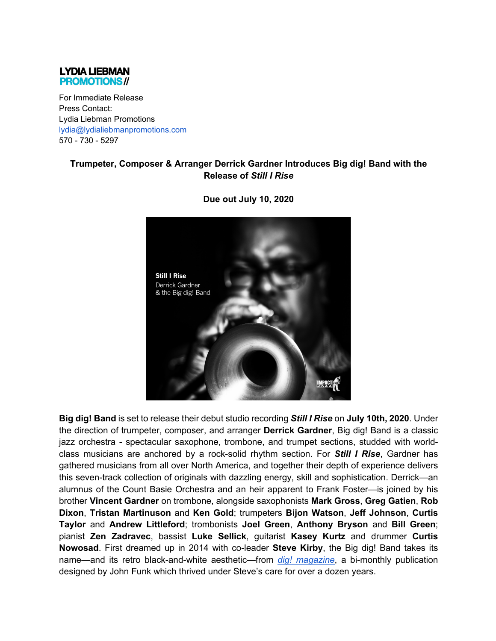## **LYDIA LIEBMAN PROMOTIONS//**

For Immediate Release Press Contact: Lydia Liebman Promotions lydia@lydialiebmanpromotions.com 570 - 730 - 5297

## **Trumpeter, Composer & Arranger Derrick Gardner Introduces Big dig! Band with the Release of** *Still I Rise*



**Due out July 10, 2020**

**Big dig! Band** is set to release their debut studio recording *Still I Rise* on **July 10th, 2020**. Under the direction of trumpeter, composer, and arranger **Derrick Gardner**, Big dig! Band is a classic jazz orchestra - spectacular saxophone, trombone, and trumpet sections, studded with worldclass musicians are anchored by a rock-solid rhythm section. For *Still I Rise*, Gardner has gathered musicians from all over North America, and together their depth of experience delivers this seven-track collection of originals with dazzling energy, skill and sophistication. Derrick—an alumnus of the Count Basie Orchestra and an heir apparent to Frank Foster—is joined by his brother **Vincent Gardner** on trombone, alongside saxophonists **Mark Gross**, **Greg Gatien**, **Rob Dixon**, **Tristan Martinuson** and **Ken Gold**; trumpeters **Bijon Watson**, **Jeff Johnson**, **Curtis Taylor** and **Andrew Littleford**; trombonists **Joel Green**, **Anthony Bryson** and **Bill Green**; pianist **Zen Zadravec**, bassist **Luke Sellick**, guitarist **Kasey Kurtz** and drummer **Curtis Nowosad**. First dreamed up in 2014 with co-leader **Steve Kirby**, the Big dig! Band takes its name—and its retro black-and-white aesthetic—from *dig! magazine*, a bi-monthly publication designed by John Funk which thrived under Steve's care for over a dozen years.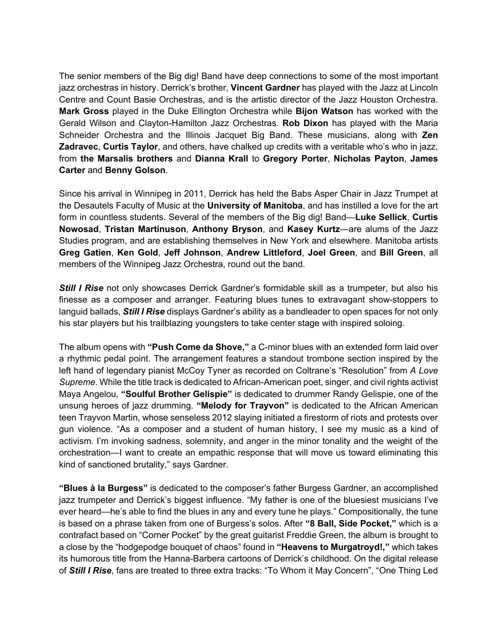The senior members of the Big dig! Band have deep connections to some of the most important jazz orchestras in history. Derrick's brother, **Vincent Gardner** has played with the Jazz at Lincoln Centre and Count Basie Orchestras, and is the artistic director of the Jazz Houston Orchestra. **Mark Gross** played in the Duke Ellington Orchestra while **Bijon Watson** has worked with the Gerald Wilson and Clayton-Hamilton Jazz Orchestras. **Rob Dixon** has played with the Maria Schneider Orchestra and the Illinois Jacquet Big Band. These musicians, along with **Zen Zadravec**, **Curtis Taylor**, and others, have chalked up credits with a veritable who's who in jazz, from **the Marsalis brothers** and **Dianna Krall** to **Gregory Porter**, **Nicholas Payton**, **James Carter** and **Benny Golson**.

Since his arrival in Winnipeg in 2011, Derrick has held the Babs Asper Chair in Jazz Trumpet at the Desautels Faculty of Music at the **University of Manitoba**, and has instilled a love for the art form in countless students. Several of the members of the Big dig! Band—**Luke Sellick**, **Curtis Nowosad**, **Tristan Martinuson**, **Anthony Bryson**, and **Kasey Kurtz**—are alums of the Jazz Studies program, and are establishing themselves in New York and elsewhere. Manitoba artists **Greg Gatien**, **Ken Gold**, **Jeff Johnson**, **Andrew Littleford**, **Joel Green**, and **Bill Green**, all members of the Winnipeg Jazz Orchestra, round out the band.

**Still I Rise** not only showcases Derrick Gardner's formidable skill as a trumpeter, but also his finesse as a composer and arranger. Featuring blues tunes to extravagant show-stoppers to languid ballads, *Still I Rise* displays Gardner's ability as a bandleader to open spaces for not only his star players but his trailblazing youngsters to take center stage with inspired soloing.

The album opens with **"Push Come da Shove,"** a C-minor blues with an extended form laid over a rhythmic pedal point. The arrangement features a standout trombone section inspired by the left hand of legendary pianist McCoy Tyner as recorded on Coltrane's "Resolution" from *A Love Supreme*. While the title track is dedicated to African-American poet, singer, and civil rights activist Maya Angelou, **"Soulful Brother Gelispie"** is dedicated to drummer Randy Gelispie, one of the unsung heroes of jazz drumming. **"Melody for Trayvon"** is dedicated to the African American teen Trayvon Martin, whose senseless 2012 slaying initiated a firestorm of riots and protests over gun violence. "As a composer and a student of human history, I see my music as a kind of activism. I'm invoking sadness, solemnity, and anger in the minor tonality and the weight of the orchestration—I want to create an empathic response that will move us toward eliminating this kind of sanctioned brutality," says Gardner.

**"Blues à la Burgess"** is dedicated to the composer's father Burgess Gardner, an accomplished jazz trumpeter and Derrick's biggest influence. "My father is one of the bluesiest musicians I've ever heard—he's able to find the blues in any and every tune he plays." Compositionally, the tune is based on a phrase taken from one of Burgess's solos. After **"8 Ball, Side Pocket,"** which is a contrafact based on "Corner Pocket" by the great guitarist Freddie Green, the album is brought to a close by the "hodgepodge bouquet of chaos" found in **"Heavens to Murgatroyd!,"** which takes its humorous title from the Hanna-Barbera cartoons of Derrick's childhood. On the digital release of *Still I Rise*, fans are treated to three extra tracks: "To Whom it May Concern", "One Thing Led